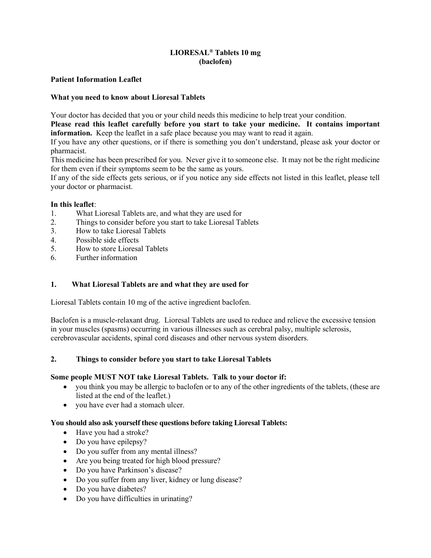# LIORESAL® Tablets 10 mg (baclofen)

# Patient Information Leaflet

# What you need to know about Lioresal Tablets

Your doctor has decided that you or your child needs this medicine to help treat your condition.

Please read this leaflet carefully before you start to take your medicine. It contains important information. Keep the leaflet in a safe place because you may want to read it again.

If you have any other questions, or if there is something you don't understand, please ask your doctor or pharmacist.

This medicine has been prescribed for you. Never give it to someone else. It may not be the right medicine for them even if their symptoms seem to be the same as yours.

If any of the side effects gets serious, or if you notice any side effects not listed in this leaflet, please tell your doctor or pharmacist.

## In this leaflet:

- 1. What Lioresal Tablets are, and what they are used for
- 2. Things to consider before you start to take Lioresal Tablets
- 3. How to take Lioresal Tablets
- 4. Possible side effects
- 5. How to store Lioresal Tablets
- 6. Further information

# 1. What Lioresal Tablets are and what they are used for

Lioresal Tablets contain 10 mg of the active ingredient baclofen.

Baclofen is a muscle-relaxant drug. Lioresal Tablets are used to reduce and relieve the excessive tension in your muscles (spasms) occurring in various illnesses such as cerebral palsy, multiple sclerosis, cerebrovascular accidents, spinal cord diseases and other nervous system disorders.

## 2. Things to consider before you start to take Lioresal Tablets

## Some people MUST NOT take Lioresal Tablets. Talk to your doctor if:

- you think you may be allergic to baclofen or to any of the other ingredients of the tablets, (these are listed at the end of the leaflet.)
- you have ever had a stomach ulcer.

# You should also ask yourself these questions before taking Lioresal Tablets:

- Have you had a stroke?
- Do you have epilepsy?
- Do you suffer from any mental illness?
- Are you being treated for high blood pressure?
- Do you have Parkinson's disease?
- Do you suffer from any liver, kidney or lung disease?
- Do you have diabetes?
- Do you have difficulties in urinating?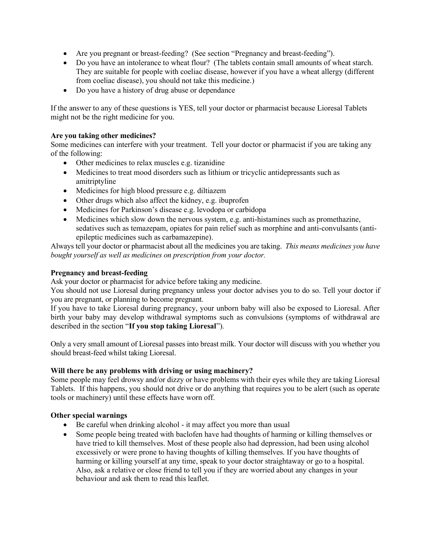- Are you pregnant or breast-feeding? (See section "Pregnancy and breast-feeding").
- Do you have an intolerance to wheat flour? (The tablets contain small amounts of wheat starch. They are suitable for people with coeliac disease, however if you have a wheat allergy (different from coeliac disease), you should not take this medicine.)
- Do you have a history of drug abuse or dependance

If the answer to any of these questions is YES, tell your doctor or pharmacist because Lioresal Tablets might not be the right medicine for you.

## Are you taking other medicines?

Some medicines can interfere with your treatment. Tell your doctor or pharmacist if you are taking any of the following:

- Other medicines to relax muscles e.g. tizanidine
- Medicines to treat mood disorders such as lithium or tricyclic antidepressants such as amitriptyline
- Medicines for high blood pressure e.g. diltiazem
- Other drugs which also affect the kidney, e.g. ibuprofen
- Medicines for Parkinson's disease e.g. levodopa or carbidopa
- Medicines which slow down the nervous system, e.g. anti-histamines such as promethazine, sedatives such as temazepam, opiates for pain relief such as morphine and anti-convulsants (antiepileptic medicines such as carbamazepine).

Always tell your doctor or pharmacist about all the medicines you are taking. This means medicines you have bought yourself as well as medicines on prescription from your doctor.

## Pregnancy and breast-feeding

Ask your doctor or pharmacist for advice before taking any medicine.

You should not use Lioresal during pregnancy unless your doctor advises you to do so. Tell your doctor if you are pregnant, or planning to become pregnant.

If you have to take Lioresal during pregnancy, your unborn baby will also be exposed to Lioresal. After birth your baby may develop withdrawal symptoms such as convulsions (symptoms of withdrawal are described in the section "If you stop taking Lioresal").

Only a very small amount of Lioresal passes into breast milk. Your doctor will discuss with you whether you should breast-feed whilst taking Lioresal.

## Will there be any problems with driving or using machinery?

Some people may feel drowsy and/or dizzy or have problems with their eyes while they are taking Lioresal Tablets. If this happens, you should not drive or do anything that requires you to be alert (such as operate tools or machinery) until these effects have worn off.

## Other special warnings

- Be careful when drinking alcohol it may affect you more than usual
- Some people being treated with baclofen have had thoughts of harming or killing themselves or have tried to kill themselves. Most of these people also had depression, had been using alcohol excessively or were prone to having thoughts of killing themselves. If you have thoughts of harming or killing yourself at any time, speak to your doctor straightaway or go to a hospital. Also, ask a relative or close friend to tell you if they are worried about any changes in your behaviour and ask them to read this leaflet.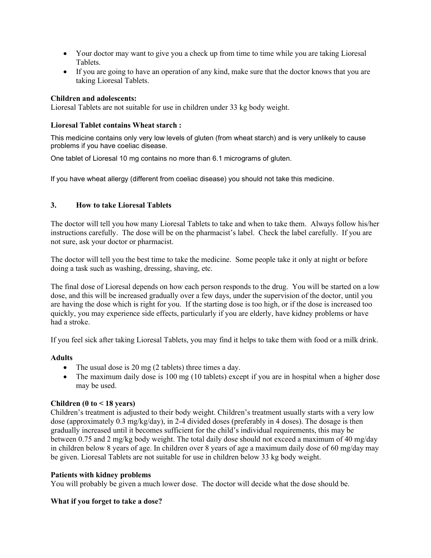- Your doctor may want to give you a check up from time to time while you are taking Lioresal Tablets.
- If you are going to have an operation of any kind, make sure that the doctor knows that you are taking Lioresal Tablets.

#### Children and adolescents:

Lioresal Tablets are not suitable for use in children under 33 kg body weight.

#### Lioresal Tablet contains Wheat starch :

This medicine contains only very low levels of gluten (from wheat starch) and is very unlikely to cause problems if you have coeliac disease.

One tablet of Lioresal 10 mg contains no more than 6.1 micrograms of gluten.

If you have wheat allergy (different from coeliac disease) you should not take this medicine.

## 3. How to take Lioresal Tablets

The doctor will tell you how many Lioresal Tablets to take and when to take them. Always follow his/her instructions carefully. The dose will be on the pharmacist's label. Check the label carefully. If you are not sure, ask your doctor or pharmacist.

The doctor will tell you the best time to take the medicine. Some people take it only at night or before doing a task such as washing, dressing, shaving, etc.

The final dose of Lioresal depends on how each person responds to the drug. You will be started on a low dose, and this will be increased gradually over a few days, under the supervision of the doctor, until you are having the dose which is right for you. If the starting dose is too high, or if the dose is increased too quickly, you may experience side effects, particularly if you are elderly, have kidney problems or have had a stroke.

If you feel sick after taking Lioresal Tablets, you may find it helps to take them with food or a milk drink.

## Adults

- The usual dose is 20 mg (2 tablets) three times a day.
- The maximum daily dose is 100 mg (10 tablets) except if you are in hospital when a higher dose may be used.

## Children ( $0$  to  $\leq 18$  years)

Children's treatment is adjusted to their body weight. Children's treatment usually starts with a very low dose (approximately 0.3 mg/kg/day), in 2-4 divided doses (preferably in 4 doses). The dosage is then gradually increased until it becomes sufficient for the child's individual requirements, this may be between 0.75 and 2 mg/kg body weight. The total daily dose should not exceed a maximum of 40 mg/day in children below 8 years of age. In children over 8 years of age a maximum daily dose of 60 mg/day may be given. Lioresal Tablets are not suitable for use in children below 33 kg body weight.

#### Patients with kidney problems

You will probably be given a much lower dose. The doctor will decide what the dose should be.

## What if you forget to take a dose?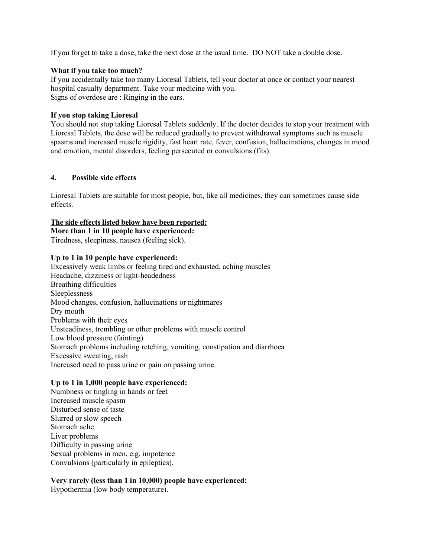If you forget to take a dose, take the next dose at the usual time. DO NOT take a double dose.

#### What if you take too much?

If you accidentally take too many Lioresal Tablets, tell your doctor at once or contact your nearest hospital casualty department. Take your medicine with you. Signs of overdose are : Ringing in the ears.

## If you stop taking Lioresal

You should not stop taking Lioresal Tablets suddenly. If the doctor decides to stop your treatment with Lioresal Tablets, the dose will be reduced gradually to prevent withdrawal symptoms such as muscle spasms and increased muscle rigidity, fast heart rate, fever, confusion, hallucinations, changes in mood and emotion, mental disorders, feeling persecuted or convulsions (fits).

## 4. Possible side effects

Lioresal Tablets are suitable for most people, but, like all medicines, they can sometimes cause side effects.

## The side effects listed below have been reported:

More than 1 in 10 people have experienced: Tiredness, sleepiness, nausea (feeling sick).

#### Up to 1 in 10 people have experienced:

Excessively weak limbs or feeling tired and exhausted, aching muscles Headache, dizziness or light-headedness Breathing difficulties Sleeplessness Mood changes, confusion, hallucinations or nightmares Dry mouth Problems with their eyes Unsteadiness, trembling or other problems with muscle control Low blood pressure (fainting) Stomach problems including retching, vomiting, constipation and diarrhoea Excessive sweating, rash Increased need to pass urine or pain on passing urine.

## Up to 1 in 1,000 people have experienced:

Numbness or tingling in hands or feet Increased muscle spasm Disturbed sense of taste Slurred or slow speech Stomach ache Liver problems Difficulty in passing urine Sexual problems in men, e.g. impotence Convulsions (particularly in epileptics).

## Very rarely (less than 1 in 10,000) people have experienced:

Hypothermia (low body temperature).